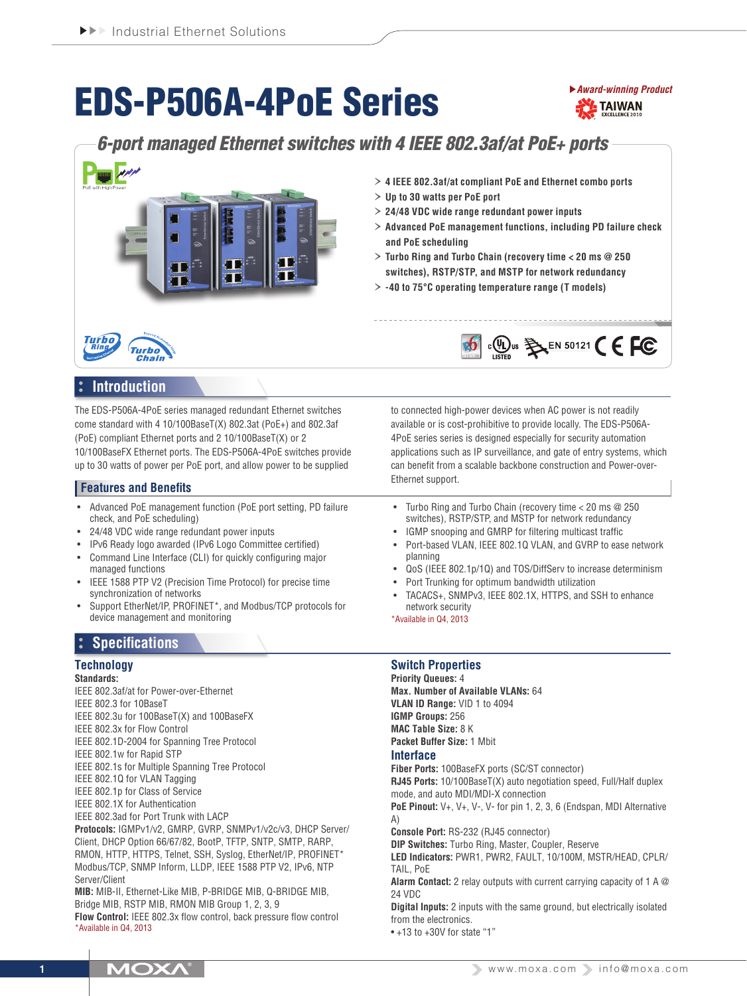# EDS-P506A-4PoE Series

# *Award-winning Product***TAIWAN**

*6-port managed Ethernet switches with 4 IEEE 802.3af/at PoE+ ports*



- › **4 IEEE 802.3af/at compliant PoE and Ethernet combo ports**
- › **Up to 30 watts per PoE port**
- › **24/48 VDC wide range redundant power inputs**
- › **Advanced PoE management functions, including PD failure check and PoE scheduling**
- › **Turbo Ring and Turbo Chain (recovery time < 20 ms @ 250 switches), RSTP/STP, and MSTP for network redundancy**
- › **-40 to 75°C operating temperature range (T models)**



## **Introduction**

The EDS-P506A-4PoE series managed redundant Ethernet switches come standard with 4 10/100BaseT(X) 802.3at (PoE+) and 802.3af (PoE) compliant Ethernet ports and 2 10/100BaseT(X) or 2 10/100BaseFX Ethernet ports. The EDS-P506A-4PoE switches provide up to 30 watts of power per PoE port, and allow power to be supplied

## **Features and Benefits**

- Advanced PoE management function (PoE port setting, PD failure check, and PoE scheduling)
- 24/48 VDC wide range redundant power inputs
- IPv6 Ready logo awarded (IPv6 Logo Committee certified)
- Command Line Interface (CLI) for quickly configuring major managed functions
- IEEE 1588 PTP V2 (Precision Time Protocol) for precise time synchronization of networks
- Support EtherNet/IP, PROFINET\*, and Modbus/TCP protocols for device management and monitoring

# **Specifications**

### **Technology**

#### **Standards:**

IEEE 802.3af/at for Power-over-Ethernet

- IEEE 802.3 for 10BaseT
- IEEE 802.3u for 100BaseT(X) and 100BaseFX
- IEEE 802.3x for Flow Control
- IEEE 802.1D-2004 for Spanning Tree Protocol
- IEEE 802.1w for Rapid STP
- IEEE 802.1s for Multiple Spanning Tree Protocol
- IEEE 802.1Q for VLAN Tagging
- IEEE 802.1p for Class of Service
- IEEE 802.1X for Authentication
- IEEE 802.3ad for Port Trunk with LACP

**Protocols:** IGMPv1/v2, GMRP, GVRP, SNMPv1/v2c/v3, DHCP Server/ Client, DHCP Option 66/67/82, BootP, TFTP, SNTP, SMTP, RARP, RMON, HTTP, HTTPS, Telnet, SSH, Syslog, EtherNet/IP, PROFINET\* Modbus/TCP, SNMP Inform, LLDP, IEEE 1588 PTP V2, IPv6, NTP Server/Client

**MIB:** MIB-II, Ethernet-Like MIB, P-BRIDGE MIB, Q-BRIDGE MIB, Bridge MIB, RSTP MIB, RMON MIB Group 1, 2, 3, 9

**Flow Control:** IEEE 802.3x flow control, back pressure flow control \*Available in Q4, 2013

to connected high-power devices when AC power is not readily available or is cost-prohibitive to provide locally. The EDS-P506A-4PoE series series is designed especially for security automation applications such as IP surveillance, and gate of entry systems, which can benefit from a scalable backbone construction and Power-over-Ethernet support.

- • Turbo Ring and Turbo Chain (recovery time < 20 ms @ 250 switches), RSTP/STP, and MSTP for network redundancy
- IGMP snooping and GMRP for filtering multicast traffic
- Port-based VLAN, IEEE 802.1Q VLAN, and GVRP to ease network planning
- QoS (IEEE 802.1p/1Q) and TOS/DiffServ to increase determinism
- Port Trunking for optimum bandwidth utilization
- TACACS+, SNMPv3, IEEE 802.1X, HTTPS, and SSH to enhance network security

\*Available in Q4, 2013

## **Switch Properties**

**Priority Queues:** 4 **Max. Number of Available VLANs:** 64 **VLAN ID Range:** VID 1 to 4094 **IGMP Groups:** 256 **MAC Table Size:** 8 K **Packet Buffer Size:** 1 Mbit

#### **Interface**

**Fiber Ports:** 100BaseFX ports (SC/ST connector) **RJ45 Ports:** 10/100BaseT(X) auto negotiation speed, Full/Half duplex mode, and auto MDI/MDI-X connection **PoE Pinout:** V+, V+, V-, V- for pin 1, 2, 3, 6 (Endspan, MDI Alternative

A)

**Console Port:** RS-232 (RJ45 connector)

**DIP Switches:** Turbo Ring, Master, Coupler, Reserve

**LED Indicators:** PWR1, PWR2, FAULT, 10/100M, MSTR/HEAD, CPLR/ TAIL, PoE

**Alarm Contact:** 2 relay outputs with current carrying capacity of 1 A @ 24 VDC

**Digital Inputs:** 2 inputs with the same ground, but electrically isolated from the electronics.

• +13 to +30V for state "1"